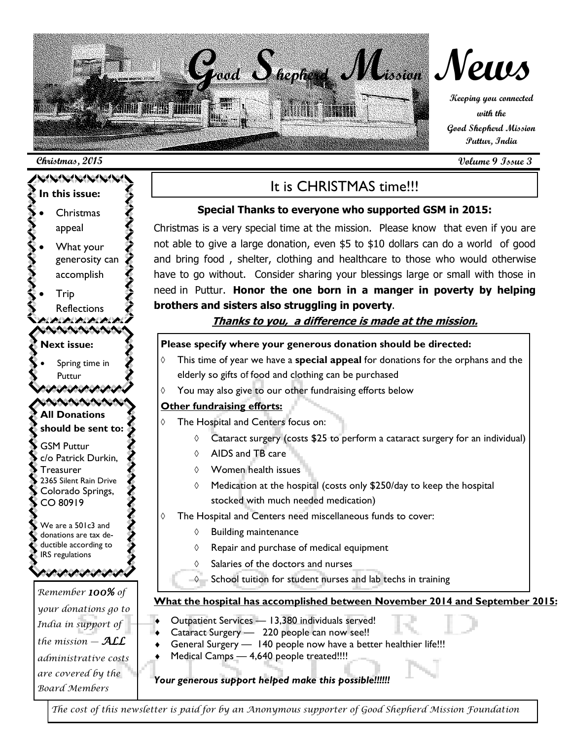

#### **Christmas, 2015 Volume 9 Issue 3**



### It is CHRISTMAS time!!!

#### **Special Thanks to everyone who supported GSM in 2015:**

Christmas is a very special time at the mission. Please know that even if you are not able to give a large donation, even \$5 to \$10 dollars can do a world of good and bring food , shelter, clothing and healthcare to those who would otherwise have to go without. Consider sharing your blessings large or small with those in need in Puttur. **Honor the one born in a manger in poverty by helping brothers and sisters also struggling in poverty**.

#### **Thanks to you, a difference is made at the mission.**

#### **Please specify where your generous donation should be directed:**

- This time of year we have a **special appeal** for donations for the orphans and the elderly so gifts of food and clothing can be purchased
- $\Diamond$  You may also give to our other fundraising efforts below

#### **Other fundraising efforts:**

- The Hospital and Centers focus on:
	- $\lozenge$  Cataract surgery (costs \$25 to perform a cataract surgery for an individual)
	- $\Diamond$  AIDS and TB care
	- Women health issues
	- $\Diamond$  Medication at the hospital (costs only \$250/day to keep the hospital stocked with much needed medication)
- The Hospital and Centers need miscellaneous funds to cover:
	- $\Diamond$  Building maintenance
	- $\Diamond$  Repair and purchase of medical equipment
	- Salaries of the doctors and nurses
	- $\Diamond$  School tuition for student nurses and lab techs in training

#### **What the hospital has accomplished between November 2014 and September 2015:**

- Outpatient Services 13,380 individuals served!
- Cataract Surgery 220 people can now see!!
- General Surgery 140 people now have a better healthier life!!!
- Medical Camps 4,640 people treated!!!!

#### *Your generous support helped make this possible!!!!!!*

*The cost of this newsletter is paid for by an Anonymous supporter of Good Shepherd Mission Foundation*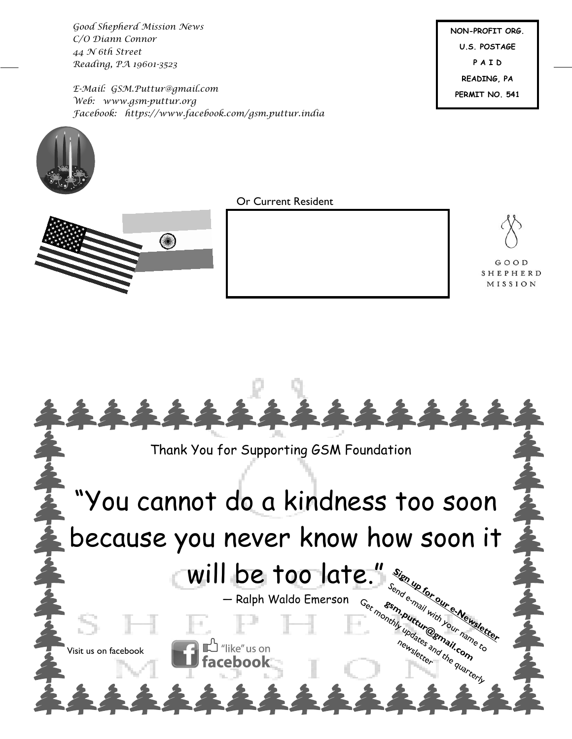*Good Shepherd Mission News C/O Diann Connor 44 N 6th Street Reading, PA 19601-3523*

*E-Mail: GSM.Puttur@gmail.com Web: www.gsm-puttur.org Facebook: https://www.facebook.com/gsm.puttur.india* **NON-PROFIT ORG. U.S. POSTAGE P A I D READING, PA PERMIT NO. 541**





Or Current Resident



GOOD SHEPHERD MISSION

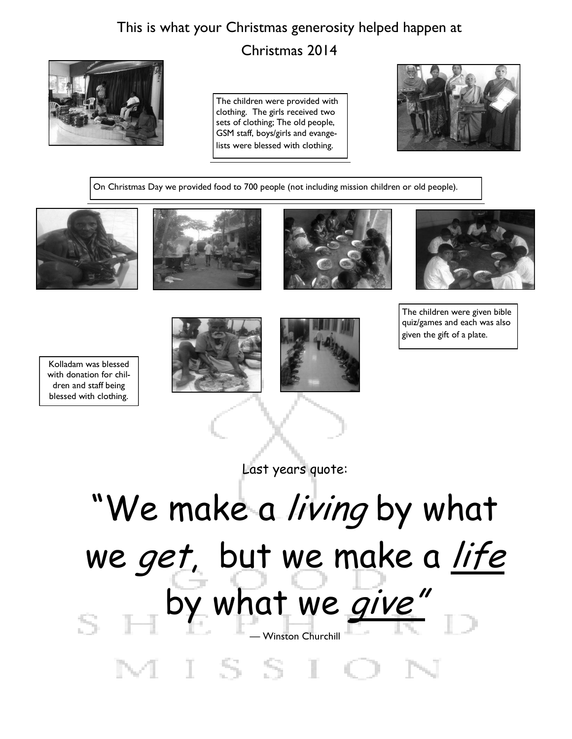## This is what your Christmas generosity helped happen at



Christmas 2014

The children were provided with clothing. The girls received two sets of clothing; The old people, GSM staff, boys/girls and evangelists were blessed with clothing.



On Christmas Day we provided food to 700 people (not including mission children or old people).









Kolladam was blessed with donation for children and staff being blessed with clothing.





The children were given bible quiz/games and each was also given the gift of a plate.

Last years quote:

# "We make a living by what we get, but we make a life by what we give" — Winston ChurchillMISSI